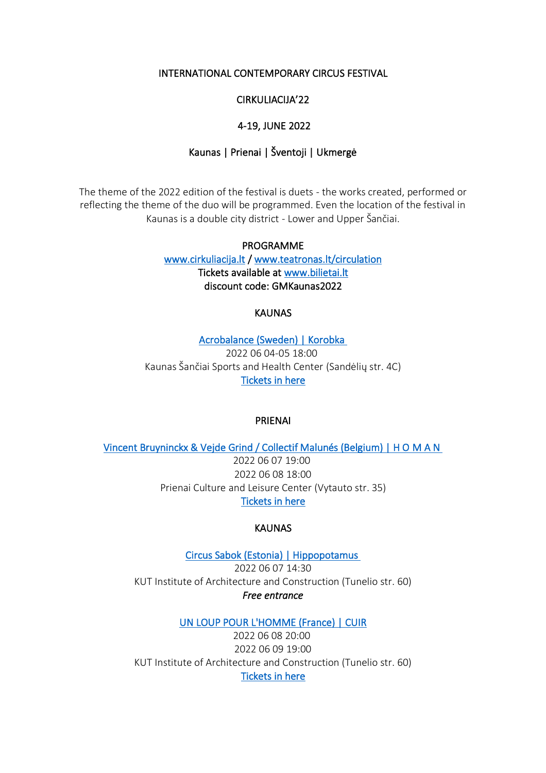### INTERNATIONAL CONTEMPORARY CIRCUS FESTIVAL

## CIRKULIACIJA'22

## 4-19, JUNE 2022

## Kaunas | Prienai | Šventoji | Ukmergė

The theme of the 2022 edition of the festival is duets - the works created, performed or reflecting the theme of the duo will be programmed. Even the location of the festival in Kaunas is a double city district - Lower and Upper Šančiai.

# PROGRAMME [www.cirkuliacija.lt](http://www.cirkuliacija.lt/) / [www.teatronas.lt/circulation](http://www.teatronas.lt/circulation)  Tickets available at [www.bilietai.lt](https://www.bilietai.lt/eng/tickets/festivaliai/cirkuliacija-78343/)  discount code: GMKaunas2022

### **KAUNAS**

[Acrobalance \(Sweden\) | Korobka](https://cirkuliacija.lt/en/renginys/acrobalance-svedija-korobka/)  2022 06 04-05 18:00 Kaunas Šančiai Sports and Health Center (Sandėlių str. 4C) [Tickets in here](https://www.bilietai.lt/eng/search:korobka/) 

#### PRIENAI

[Vincent Bruyninckx & Vejde Grind / Collectif Malunés \(Belgium\) | H O M A N](https://cirkuliacija.lt/en/renginys/h-o-m-a-n/) 

2022 06 07 19:00 2022 06 08 18:00 Prienai Culture and Leisure Center (Vytauto str. 35) [Tickets in here](https://www.bilietai.lt/eng/search:h%20o%20m%20a%20n/)

## **KAUNAS**

[Circus Sabok \(Estonia\) | Hippopotamus](https://cirkuliacija.lt/en/renginys/circus-sabok-estonia-hippopotamus/)  2022 06 07 14:30 KUT Institute of Architecture and Construction (Tunelio str. 60) *Free entrance*

#### [UN LOUP POUR L'HOMME \(France\) | CUIR](https://cirkuliacija.lt/en/renginys/un-loup-pour-lhomme-france-cuir/)

2022 06 08 20:00 2022 06 09 19:00 KUT Institute of Architecture and Construction (Tunelio str. 60) [Tickets in here](https://www.bilietai.lt/eng/search:cuir/)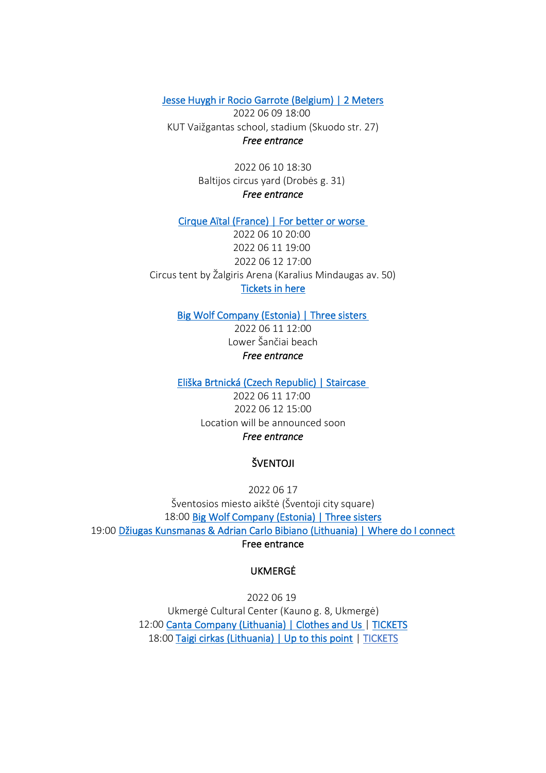[Jesse Huygh ir Rocio Garrote \(Belgium\) | 2 Meters](https://cirkuliacija.lt/en/renginys/jesse-huygh-rocio-garrote-belgium-2-meters/)

2022 06 09 18:00 KUT Vaižgantas school, stadium (Skuodo str. 27) *Free entrance*

> 2022 06 10 18:30 Baltijos circus yard (Drobės g. 31) *Free entrance*

[Cirque Aïtal \(France\) | For better or worse](https://cirkuliacija.lt/en/renginys/cirque-aital-france-for-better-or-worse/) 

2022 06 10 20:00 2022 06 11 19:00 2022 06 12 17:00 Circus tent by Žalgiris Arena (Karalius Mindaugas av. 50) [Tickets in here](https://www.bilietai.lt/eng/search:for%20better%20or%20worse/)

[Big Wolf Company \(Estonia\) | Three sisters](https://cirkuliacija.lt/en/renginys/big-wolf-company-estonia-three-sisters/) 

2022 06 11 12:00 Lower Šančiai beach *Free entrance*

[Eliška Brtnická \(Czech Republic\) | Staircase](https://cirkuliacija.lt/en/renginys/eliska-brtnicka-czech-republic-staircase/)

2022 06 11 17:00 2022 06 12 15:00 Location will be announced soon *Free entrance*

### ŠVENTOJI

2022 06 17 Šventosios miesto aikštė (Šventoji city square) 18:00 [Big Wolf Company \(Estonia\) | Three sisters](https://cirkuliacija.lt/en/renginys/big-wolf-company-estonia-three-sisters-2/)  19:00 [Džiugas Kunsmanas & Adrian Carlo Bibiano \(Lithuania\) | Where do I connect](https://cirkuliacija.lt/en/renginys/dziugas-kunsmanas-adrian-carlo-bibiano-liethuania-where-do-i-connect/) Free entrance

# UKMERGĖ

2022 06 19 Ukmergė Cultural Center (Kauno g. 8, Ukmergė) 12:00 [Canta Company \(Lithuania\) | Clothes and Us |](https://cirkuliacija.lt/en/renginys/canta-company-lithuania-clothes-and-us/) [TICKETS](https://www.bilietai.lt/lit/renginiai/festivaliai/cirkuliacija-drabuziai-ir-mes-canta-company-lietuva-358001/) 18:00 [Taigi cirkas \(Lithuania\) | Up to this point](https://cirkuliacija.lt/en/renginys/taigi-cirkas-lithuania-up-to-this-point/) | [TICKETS](https://www.bilietai.lt/lit/renginiai/festivaliai/cirkuliacija-up-to-this-point-taigi-cirkas-lietuva-358002/)